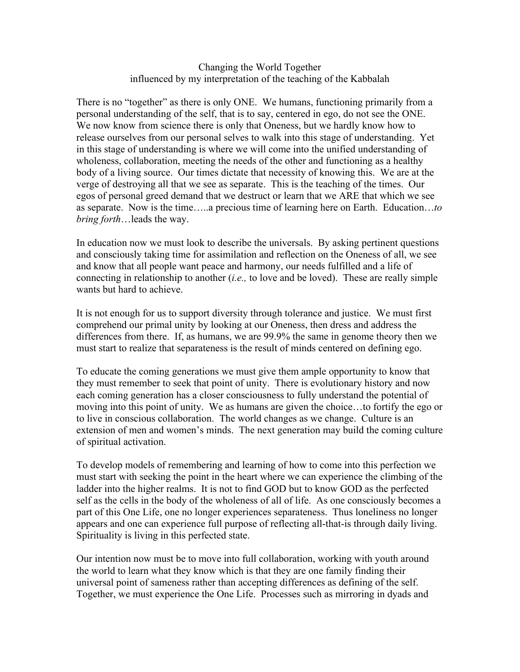## Changing the World Together influenced by my interpretation of the teaching of the Kabbalah

There is no "together" as there is only ONE. We humans, functioning primarily from a personal understanding of the self, that is to say, centered in ego, do not see the ONE. We now know from science there is only that Oneness, but we hardly know how to release ourselves from our personal selves to walk into this stage of understanding. Yet in this stage of understanding is where we will come into the unified understanding of wholeness, collaboration, meeting the needs of the other and functioning as a healthy body of a living source. Our times dictate that necessity of knowing this. We are at the verge of destroying all that we see as separate. This is the teaching of the times. Our egos of personal greed demand that we destruct or learn that we ARE that which we see as separate. Now is the time…..a precious time of learning here on Earth. Education…*to bring forth*…leads the way.

In education now we must look to describe the universals. By asking pertinent questions and consciously taking time for assimilation and reflection on the Oneness of all, we see and know that all people want peace and harmony, our needs fulfilled and a life of connecting in relationship to another (*i.e.,* to love and be loved). These are really simple wants but hard to achieve.

It is not enough for us to support diversity through tolerance and justice. We must first comprehend our primal unity by looking at our Oneness, then dress and address the differences from there. If, as humans, we are 99.9% the same in genome theory then we must start to realize that separateness is the result of minds centered on defining ego.

To educate the coming generations we must give them ample opportunity to know that they must remember to seek that point of unity. There is evolutionary history and now each coming generation has a closer consciousness to fully understand the potential of moving into this point of unity. We as humans are given the choice…to fortify the ego or to live in conscious collaboration. The world changes as we change. Culture is an extension of men and women's minds. The next generation may build the coming culture of spiritual activation.

To develop models of remembering and learning of how to come into this perfection we must start with seeking the point in the heart where we can experience the climbing of the ladder into the higher realms. It is not to find GOD but to know GOD as the perfected self as the cells in the body of the wholeness of all of life. As one consciously becomes a part of this One Life, one no longer experiences separateness. Thus loneliness no longer appears and one can experience full purpose of reflecting all-that-is through daily living. Spirituality is living in this perfected state.

Our intention now must be to move into full collaboration, working with youth around the world to learn what they know which is that they are one family finding their universal point of sameness rather than accepting differences as defining of the self. Together, we must experience the One Life. Processes such as mirroring in dyads and